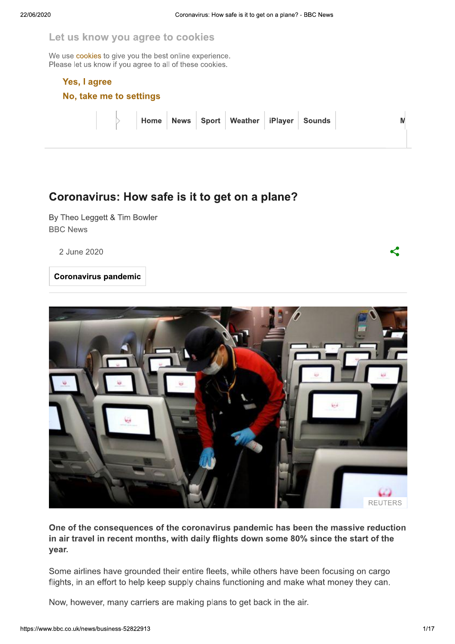#### Let us know you agree to cookies

We use cookies to give you the best online experience. Please let us know if you agree to all of these cookies.

#### Yes, I agree

No, take me to settings

| Home News Sport Weather iPlayer Sounds |  |  |  |  |
|----------------------------------------|--|--|--|--|
|                                        |  |  |  |  |

## Coronavirus: How safe is it to get on a plane?

By Theo Leggett & Tim Bowler **BBC News** 

2 June 2020

**Coronavirus pandemic** 



One of the consequences of the coronavirus pandemic has been the massive reduction in air travel in recent months, with daily flights down some 80% since the start of the vear.

Some airlines have grounded their entire fleets, while others have been focusing on cargo flights, in an effort to help keep supply chains functioning and make what money they can.

Now, however, many carriers are making plans to get back in the air.

K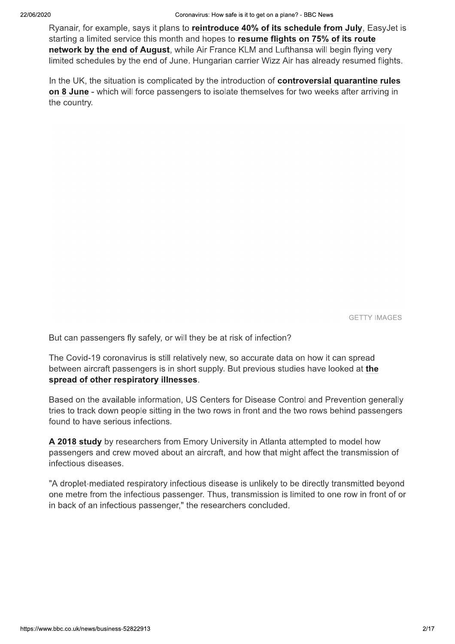Ryanair, for example, says it plans to reintroduce 40% of its schedule from July, EasyJet is starting a limited service this month and hopes to resume flights on 75% of its route network by the end of August, while Air France KLM and Lufthansa will begin flying very limited schedules by the end of June. Hungarian carrier Wizz Air has already resumed flights.

In the UK, the situation is complicated by the introduction of controversial quarantine rules on 8 June - which will force passengers to isolate themselves for two weeks after arriving in the country.

**GETTY IMAGES** 

But can passengers fly safely, or will they be at risk of infection?

The Covid-19 coronavirus is still relatively new, so accurate data on how it can spread between aircraft passengers is in short supply. But previous studies have looked at the spread of other respiratory illnesses.

Based on the available information, US Centers for Disease Control and Prevention generally tries to track down people sitting in the two rows in front and the two rows behind passengers found to have serious infections.

A 2018 study by researchers from Emory University in Atlanta attempted to model how passengers and crew moved about an aircraft, and how that might affect the transmission of infectious diseases.

"A droplet-mediated respiratory infectious disease is unlikely to be directly transmitted beyond one metre from the infectious passenger. Thus, transmission is limited to one row in front of or in back of an infectious passenger," the researchers concluded.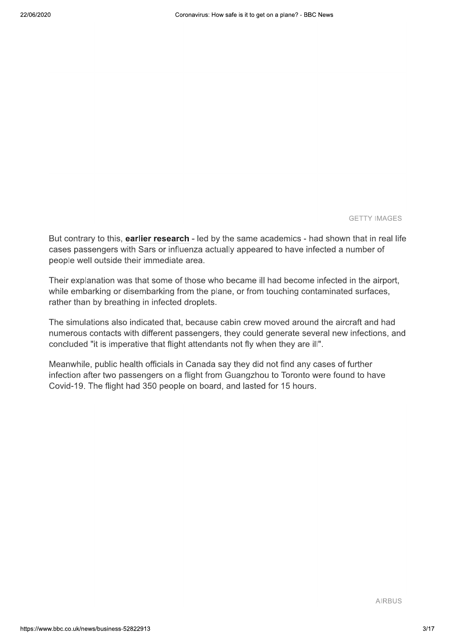**GETTY IMAGES** 

But contrary to this, earlier research - led by the same academics - had shown that in real life cases passengers with Sars or influenza actually appeared to have infected a number of people well outside their immediate area.

Their explanation was that some of those who became ill had become infected in the airport, while embarking or disembarking from the plane, or from touching contaminated surfaces, rather than by breathing in infected droplets.

The simulations also indicated that, because cabin crew moved around the aircraft and had numerous contacts with different passengers, they could generate several new infections, and concluded "it is imperative that flight attendants not fly when they are ill".

Meanwhile, public health officials in Canada say they did not find any cases of further infection after two passengers on a flight from Guangzhou to Toronto were found to have Covid-19. The flight had 350 people on board, and lasted for 15 hours.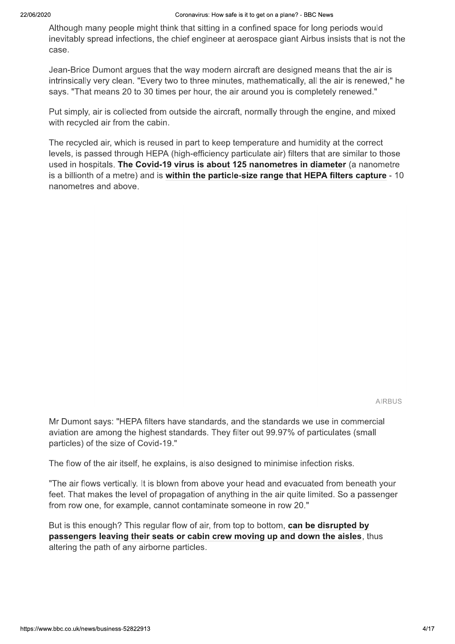Although many people might think that sitting in a confined space for long periods would inevitably spread infections, the chief engineer at aerospace giant Airbus insists that is not the case.

Jean-Brice Dumont argues that the way modern aircraft are designed means that the air is intrinsically very clean. "Every two to three minutes, mathematically, all the air is renewed," he says. "That means 20 to 30 times per hour, the air around you is completely renewed."

Put simply, air is collected from outside the aircraft, normally through the engine, and mixed with recycled air from the cabin.

The recycled air, which is reused in part to keep temperature and humidity at the correct levels, is passed through HEPA (high-efficiency particulate air) filters that are similar to those used in hospitals. The Covid-19 virus is about 125 nanometres in diameter (a nanometre is a billionth of a metre) and is within the particle-size range that HEPA filters capture - 10 nanometres and above.

**AIRBUS** 

Mr Dumont says: "HEPA filters have standards, and the standards we use in commercial aviation are among the highest standards. They filter out 99.97% of particulates (small particles) of the size of Covid-19."

The flow of the air itself, he explains, is also designed to minimise infection risks.

"The air flows vertically. It is blown from above your head and evacuated from beneath your feet. That makes the level of propagation of anything in the air quite limited. So a passenger from row one, for example, cannot contaminate someone in row 20."

But is this enough? This regular flow of air, from top to bottom, can be disrupted by passengers leaving their seats or cabin crew moving up and down the aisles, thus altering the path of any airborne particles.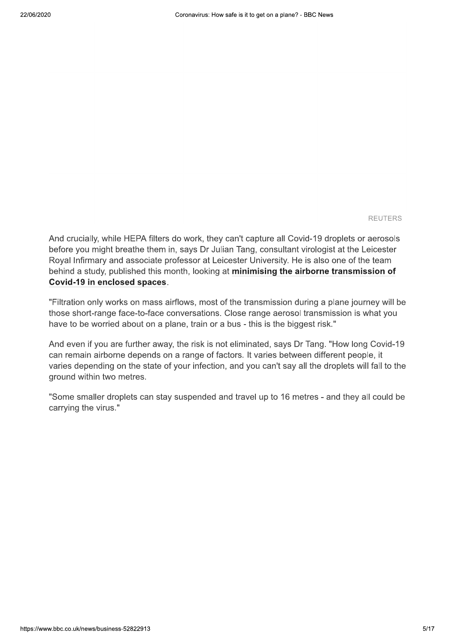**REUTERS** 

And crucially, while HEPA filters do work, they can't capture all Covid-19 droplets or aerosols before you might breathe them in, says Dr Julian Tang, consultant virologist at the Leicester Royal Infirmary and associate professor at Leicester University. He is also one of the team behind a study, published this month, looking at minimising the airborne transmission of Covid-19 in enclosed spaces.

"Filtration only works on mass airflows, most of the transmission during a plane journey will be those short-range face-to-face conversations. Close range aerosol transmission is what you have to be worried about on a plane, train or a bus - this is the biggest risk."

And even if you are further away, the risk is not eliminated, says Dr Tang. "How long Covid-19 can remain airborne depends on a range of factors. It varies between different people, it varies depending on the state of your infection, and you can't say all the droplets will fall to the ground within two metres.

"Some smaller droplets can stay suspended and travel up to 16 metres - and they all could be carrying the virus."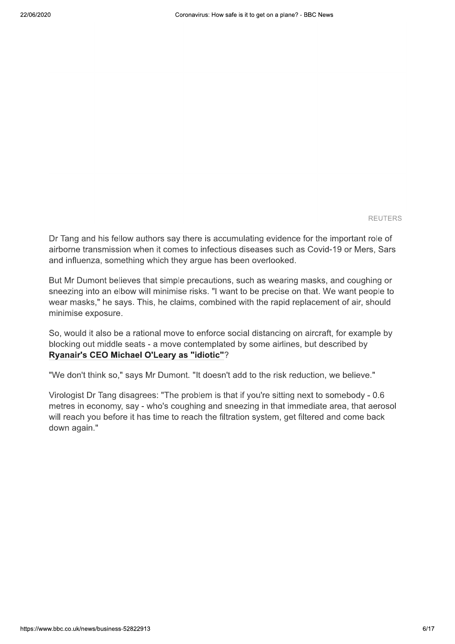**REUTERS** 

Dr Tang and his fellow authors say there is accumulating evidence for the important role of airborne transmission when it comes to infectious diseases such as Covid-19 or Mers, Sars and influenza, something which they argue has been overlooked.

But Mr Dumont believes that simple precautions, such as wearing masks, and coughing or sneezing into an elbow will minimise risks. "I want to be precise on that. We want people to wear masks," he says. This, he claims, combined with the rapid replacement of air, should minimise exposure.

So, would it also be a rational move to enforce social distancing on aircraft, for example by blocking out middle seats - a move contemplated by some airlines, but described by Ryanair's CEO Michael O'Leary as "idiotic"?

"We don't think so," says Mr Dumont. "It doesn't add to the risk reduction, we believe."

Virologist Dr Tang disagrees: "The problem is that if you're sitting next to somebody - 0.6 metres in economy, say - who's coughing and sneezing in that immediate area, that aerosol will reach you before it has time to reach the filtration system, get filtered and come back down again."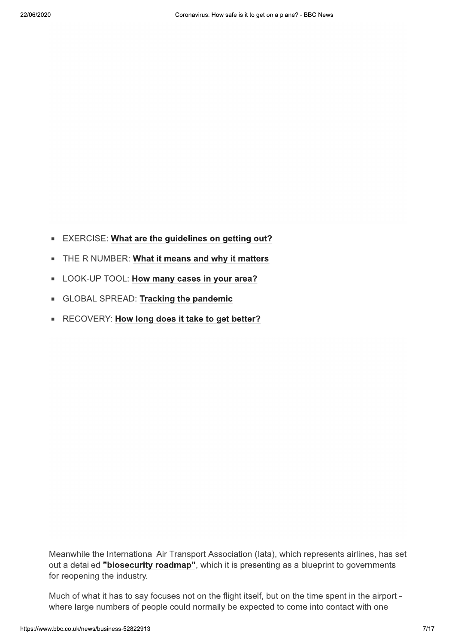- EXERCISE: What are the guidelines on getting out?
- THE R NUMBER: What it means and why it matters
- LOOK-UP TOOL: How many cases in your area?
- GLOBAL SPREAD: Tracking the pandemic
- RECOVERY: How long does it take to get better?

Meanwhile the International Air Transport Association (lata), which represents airlines, has set out a detailed "biosecurity roadmap", which it is presenting as a blueprint to governments for reopening the industry.

Much of what it has to say focuses not on the flight itself, but on the time spent in the airport where large numbers of people could normally be expected to come into contact with one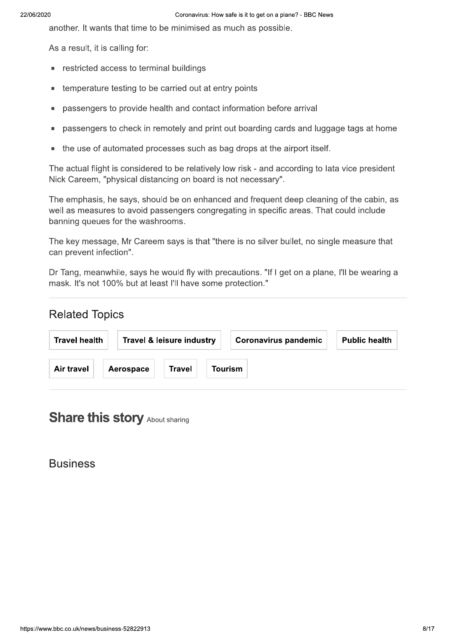another. It wants that time to be minimised as much as possible.

As a result, it is calling for:

- restricted access to terminal buildings  $\blacksquare$
- temperature testing to be carried out at entry points Ė
- passengers to provide health and contact information before arrival  $\blacksquare$
- passengers to check in remotely and print out boarding cards and luggage tags at home Ė
- the use of automated processes such as bag drops at the airport itself.

The actual flight is considered to be relatively low risk - and according to lata vice president Nick Careem, "physical distancing on board is not necessary".

The emphasis, he says, should be on enhanced and frequent deep cleaning of the cabin, as well as measures to avoid passengers congregating in specific areas. That could include banning queues for the washrooms.

The key message, Mr Careem says is that "there is no silver bullet, no single measure that can prevent infection".

Dr Tang, meanwhile, says he would fly with precautions. "If I get on a plane, I'll be wearing a mask. It's not 100% but at least I'll have some protection."

## **Related Topics**

| <b>Travel health</b> |           | <b>Travel &amp; leisure industry</b> | <b>Coronavirus pandemic</b> | <b>Public health</b> |
|----------------------|-----------|--------------------------------------|-----------------------------|----------------------|
| <b>Air travel</b>    | Aerospace | Travel                               | <b>Tourism</b>              |                      |

# **Share this story About sharing**

**Business**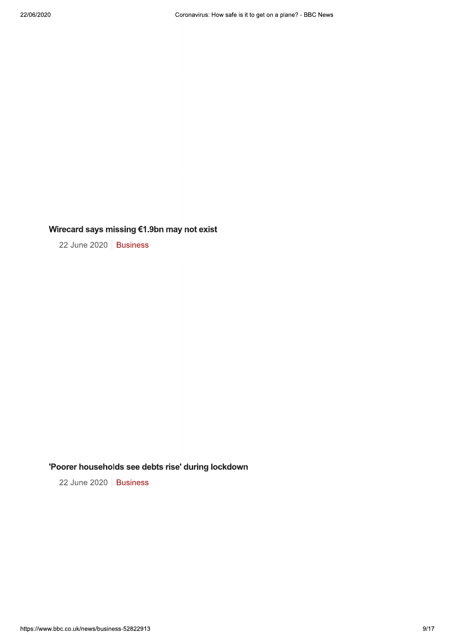### Wirecard says missing €1.9bn may not exist

22 June 2020 | Business

### 'Poorer households see debts rise' during lockdown

22 June 2020 | Business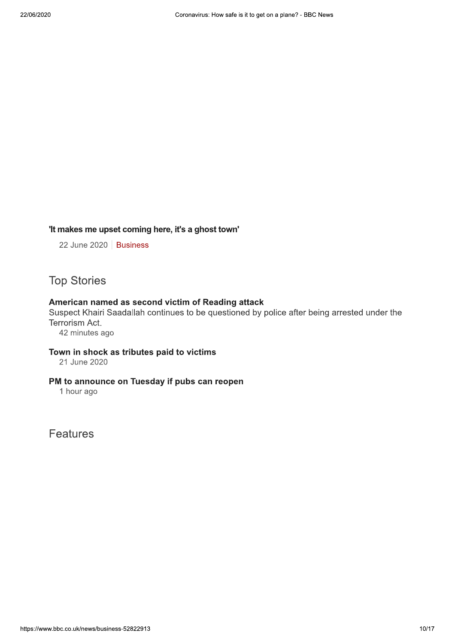#### 'It makes me upset coming here, it's a ghost town'

22 June 2020 | Business

**Top Stories** 

#### American named as second victim of Reading attack

Suspect Khairi Saadallah continues to be questioned by police after being arrested under the Terrorism Act.

42 minutes ago

#### Town in shock as tributes paid to victims

21 June 2020

#### PM to announce on Tuesday if pubs can reopen

1 hour ago

Features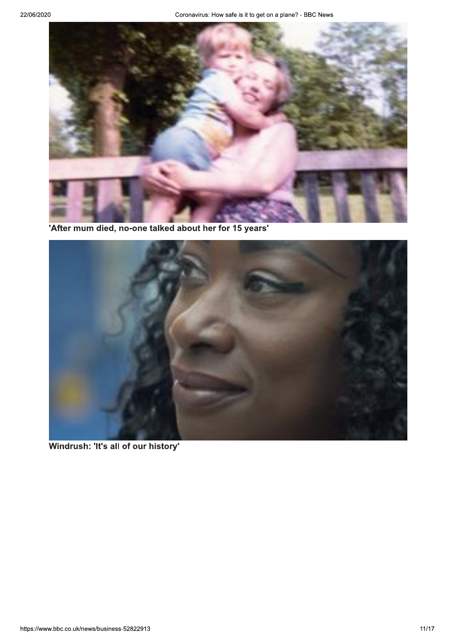

'After mum died, no-one talked about her for 15 years'



Windrush: 'It's all of our history'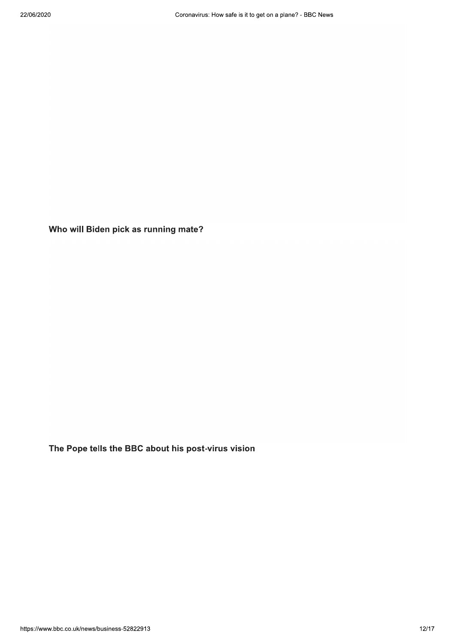Who will Biden pick as running mate?

The Pope tells the BBC about his post-virus vision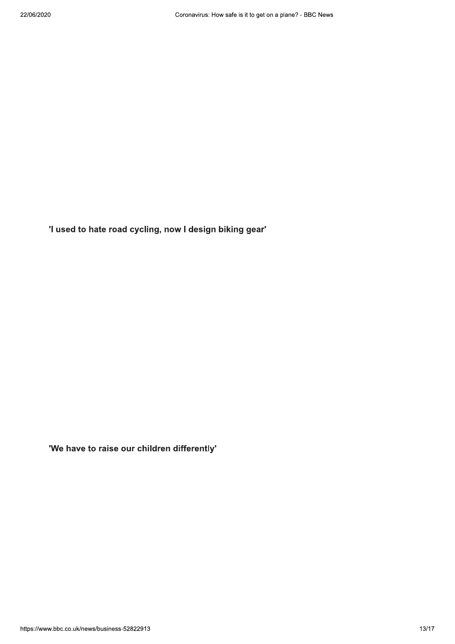'I used to hate road cycling, now I design biking gear'

'We have to raise our children differently'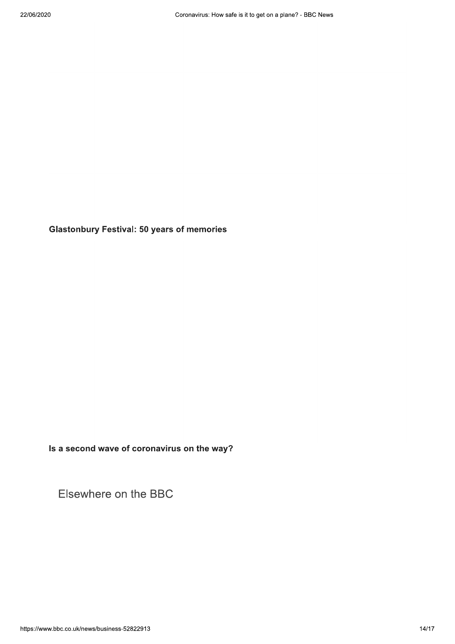**Glastonbury Festival: 50 years of memories** 

Is a second wave of coronavirus on the way?

Elsewhere on the BBC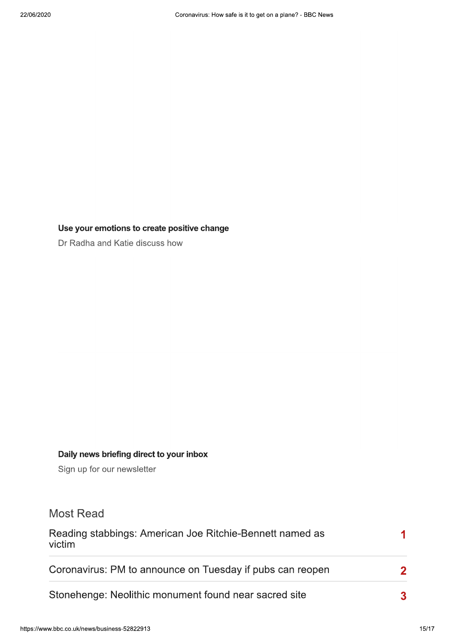### Use your emotions to create positive change

Dr Radha and Katie discuss how

### Daily news briefing direct to your inbox

Sign up for our newsletter

## **Most Read**

| Reading stabbings: American Joe Ritchie-Bennett named as<br>victim |  |  |
|--------------------------------------------------------------------|--|--|
| Coronavirus: PM to announce on Tuesday if pubs can reopen          |  |  |
| Stonehenge: Neolithic monument found near sacred site              |  |  |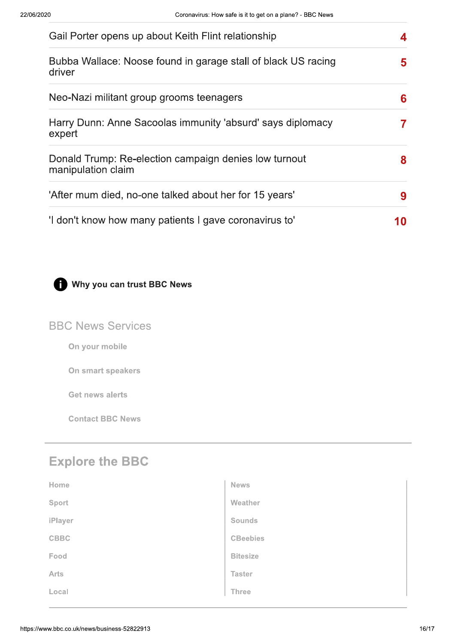| Gail Porter opens up about Keith Flint relationship                         | 4  |
|-----------------------------------------------------------------------------|----|
| Bubba Wallace: Noose found in garage stall of black US racing<br>driver     | 5  |
| Neo-Nazi militant group grooms teenagers                                    | 6  |
| Harry Dunn: Anne Sacoolas immunity 'absurd' says diplomacy<br>expert        | 7  |
| Donald Trump: Re-election campaign denies low turnout<br>manipulation claim | 8  |
| 'After mum died, no-one talked about her for 15 years'                      | 9  |
| 'I don't know how many patients I gave coronavirus to'                      | 10 |



## Why you can trust BBC News

## **BBC News Services**

On your mobile

On smart speakers

**Get news alerts** 

**Contact BBC News** 

## **Explore the BBC**

| Home        | <b>News</b>     |
|-------------|-----------------|
| Sport       | Weather         |
| iPlayer     | <b>Sounds</b>   |
| <b>CBBC</b> | <b>CBeebies</b> |
| Food        | <b>Bitesize</b> |
| Arts        | <b>Taster</b>   |
| Local       | Three           |